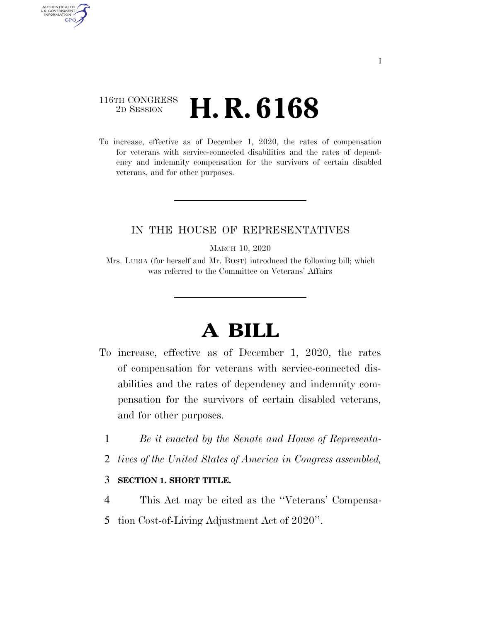### 116TH CONGRESS <sup>2D SESSION</sup> **H. R. 6168**

AUTHENTICATED U.S. GOVERNMENT **GPO** 

> To increase, effective as of December 1, 2020, the rates of compensation for veterans with service-connected disabilities and the rates of dependency and indemnity compensation for the survivors of certain disabled veterans, and for other purposes.

#### IN THE HOUSE OF REPRESENTATIVES

MARCH 10, 2020

Mrs. LURIA (for herself and Mr. BOST) introduced the following bill; which was referred to the Committee on Veterans' Affairs

# **A BILL**

- To increase, effective as of December 1, 2020, the rates of compensation for veterans with service-connected disabilities and the rates of dependency and indemnity compensation for the survivors of certain disabled veterans, and for other purposes.
	- 1 *Be it enacted by the Senate and House of Representa-*
	- 2 *tives of the United States of America in Congress assembled,*

#### 3 **SECTION 1. SHORT TITLE.**

- 4 This Act may be cited as the ''Veterans' Compensa-
- 5 tion Cost-of-Living Adjustment Act of 2020''.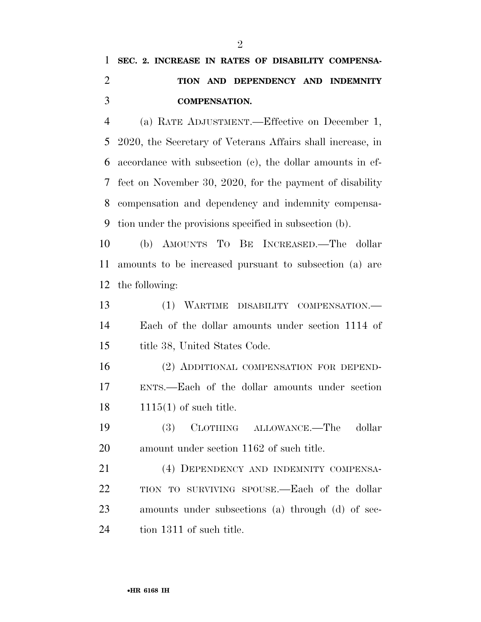## **SEC. 2. INCREASE IN RATES OF DISABILITY COMPENSA- TION AND DEPENDENCY AND INDEMNITY COMPENSATION.**

 (a) RATE ADJUSTMENT.—Effective on December 1, 2020, the Secretary of Veterans Affairs shall increase, in accordance with subsection (c), the dollar amounts in ef- fect on November 30, 2020, for the payment of disability compensation and dependency and indemnity compensa-tion under the provisions specified in subsection (b).

 (b) AMOUNTS TO BE INCREASED.—The dollar amounts to be increased pursuant to subsection (a) are the following:

 (1) WARTIME DISABILITY COMPENSATION.— Each of the dollar amounts under section 1114 of title 38, United States Code.

 (2) ADDITIONAL COMPENSATION FOR DEPEND- ENTS.—Each of the dollar amounts under section 1115(1) of such title.

 (3) CLOTHING ALLOWANCE.—The dollar amount under section 1162 of such title.

 (4) DEPENDENCY AND INDEMNITY COMPENSA- TION TO SURVIVING SPOUSE.—Each of the dollar amounts under subsections (a) through (d) of sec-24 tion 1311 of such title.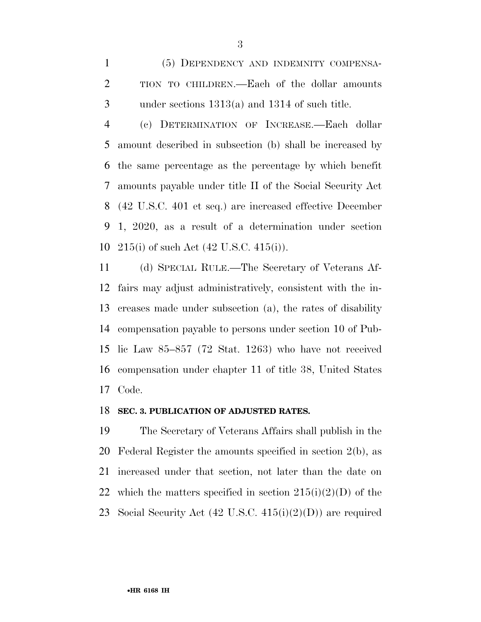(5) DEPENDENCY AND INDEMNITY COMPENSA- TION TO CHILDREN.—Each of the dollar amounts under sections 1313(a) and 1314 of such title.

 (c) DETERMINATION OF INCREASE.—Each dollar amount described in subsection (b) shall be increased by the same percentage as the percentage by which benefit amounts payable under title II of the Social Security Act (42 U.S.C. 401 et seq.) are increased effective December 1, 2020, as a result of a determination under section 215(i) of such Act (42 U.S.C. 415(i)).

 (d) SPECIAL RULE.—The Secretary of Veterans Af- fairs may adjust administratively, consistent with the in- creases made under subsection (a), the rates of disability compensation payable to persons under section 10 of Pub- lic Law 85–857 (72 Stat. 1263) who have not received compensation under chapter 11 of title 38, United States Code.

#### **SEC. 3. PUBLICATION OF ADJUSTED RATES.**

 The Secretary of Veterans Affairs shall publish in the Federal Register the amounts specified in section 2(b), as increased under that section, not later than the date on 22 which the matters specified in section  $215(i)(2)(D)$  of the Social Security Act (42 U.S.C. 415(i)(2)(D)) are required